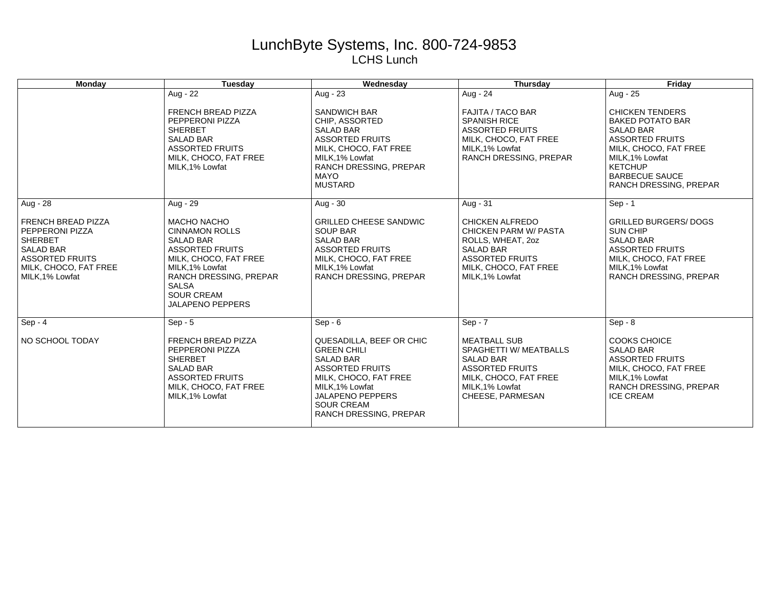## LunchByte Systems, Inc. 800-724-9853 LCHS Lunch

| <b>Monday</b>                                                                                                                                                   | Tuesday                                                                                                                                                                                                                         | Wednesday                                                                                                                                                                                                          | Thursday                                                                                                                                                              | Friday                                                                                                                                                                                                                 |
|-----------------------------------------------------------------------------------------------------------------------------------------------------------------|---------------------------------------------------------------------------------------------------------------------------------------------------------------------------------------------------------------------------------|--------------------------------------------------------------------------------------------------------------------------------------------------------------------------------------------------------------------|-----------------------------------------------------------------------------------------------------------------------------------------------------------------------|------------------------------------------------------------------------------------------------------------------------------------------------------------------------------------------------------------------------|
|                                                                                                                                                                 | Aug - 22                                                                                                                                                                                                                        | Aug - $23$                                                                                                                                                                                                         | Aug - 24                                                                                                                                                              | Aug - $25$                                                                                                                                                                                                             |
|                                                                                                                                                                 | <b>FRENCH BREAD PIZZA</b><br>PEPPERONI PIZZA<br><b>SHERBET</b><br><b>SALAD BAR</b><br><b>ASSORTED FRUITS</b><br>MILK, CHOCO, FAT FREE<br>MILK, 1% Lowfat                                                                        | <b>SANDWICH BAR</b><br>CHIP. ASSORTED<br><b>SALAD BAR</b><br><b>ASSORTED FRUITS</b><br>MILK, CHOCO, FAT FREE<br>MILK, 1% Lowfat<br>RANCH DRESSING, PREPAR<br><b>MAYO</b><br><b>MUSTARD</b>                         | <b>FAJITA / TACO BAR</b><br><b>SPANISH RICE</b><br><b>ASSORTED FRUITS</b><br>MILK, CHOCO, FAT FREE<br>MILK.1% Lowfat<br>RANCH DRESSING, PREPAR                        | <b>CHICKEN TENDERS</b><br><b>BAKED POTATO BAR</b><br><b>SALAD BAR</b><br><b>ASSORTED FRUITS</b><br>MILK, CHOCO, FAT FREE<br>MILK.1% Lowfat<br><b>KETCHUP</b><br><b>BARBECUE SAUCE</b><br><b>RANCH DRESSING, PREPAR</b> |
| Aug - 28                                                                                                                                                        | Aug - 29                                                                                                                                                                                                                        | Aug - 30                                                                                                                                                                                                           | Aug - 31                                                                                                                                                              | $Sep - 1$                                                                                                                                                                                                              |
| <b>FRENCH BREAD PIZZA</b><br><b>PEPPERONI PIZZA</b><br><b>SHERBET</b><br><b>SALAD BAR</b><br><b>ASSORTED FRUITS</b><br>MILK, CHOCO, FAT FREE<br>MILK, 1% Lowfat | <b>MACHO NACHO</b><br><b>CINNAMON ROLLS</b><br><b>SALAD BAR</b><br><b>ASSORTED FRUITS</b><br>MILK, CHOCO, FAT FREE<br>MILK, 1% Lowfat<br>RANCH DRESSING, PREPAR<br><b>SALSA</b><br><b>SOUR CREAM</b><br><b>JALAPENO PEPPERS</b> | <b>GRILLED CHEESE SANDWIC</b><br><b>SOUP BAR</b><br><b>SALAD BAR</b><br><b>ASSORTED FRUITS</b><br>MILK, CHOCO, FAT FREE<br>MILK, 1% Lowfat<br>RANCH DRESSING, PREPAR                                               | <b>CHICKEN ALFREDO</b><br><b>CHICKEN PARM W/ PASTA</b><br>ROLLS, WHEAT, 20Z<br><b>SALAD BAR</b><br><b>ASSORTED FRUITS</b><br>MILK, CHOCO, FAT FREE<br>MILK, 1% Lowfat | <b>GRILLED BURGERS/ DOGS</b><br><b>SUN CHIP</b><br><b>SALAD BAR</b><br><b>ASSORTED FRUITS</b><br>MILK, CHOCO, FAT FREE<br>MILK.1% Lowfat<br>RANCH DRESSING, PREPAR                                                     |
| $Sep - 4$                                                                                                                                                       | $Sep - 5$                                                                                                                                                                                                                       | $Sep - 6$                                                                                                                                                                                                          | $Sep - 7$                                                                                                                                                             | $Sep - 8$                                                                                                                                                                                                              |
| NO SCHOOL TODAY                                                                                                                                                 | <b>FRENCH BREAD PIZZA</b><br>PEPPERONI PIZZA<br><b>SHERBET</b><br><b>SALAD BAR</b><br><b>ASSORTED FRUITS</b><br>MILK, CHOCO, FAT FREE<br>MILK, 1% Lowfat                                                                        | QUESADILLA, BEEF OR CHIC<br><b>GREEN CHILI</b><br><b>SALAD BAR</b><br><b>ASSORTED FRUITS</b><br>MILK, CHOCO, FAT FREE<br>MILK, 1% Lowfat<br><b>JALAPENO PEPPERS</b><br><b>SOUR CREAM</b><br>RANCH DRESSING, PREPAR | <b>MEATBALL SUB</b><br>SPAGHETTI W/ MEATBALLS<br><b>SALAD BAR</b><br><b>ASSORTED FRUITS</b><br>MILK, CHOCO, FAT FREE<br>MILK, 1% Lowfat<br>CHEESE, PARMESAN           | <b>COOKS CHOICE</b><br><b>SALAD BAR</b><br><b>ASSORTED FRUITS</b><br>MILK, CHOCO, FAT FREE<br>MILK.1% Lowfat<br>RANCH DRESSING, PREPAR<br><b>ICE CREAM</b>                                                             |